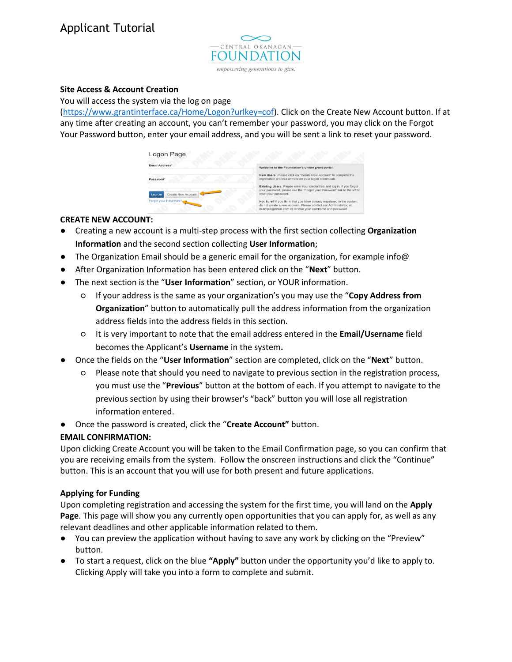

### **Site Access & Account Creation**

You will access the system via the log on page

[\(https://www.grantinterface.ca/Home/Logon?urlkey=cof\)](https://www.grantinterface.ca/Home/Logon?urlkey=cof). Click on the Create New Account button. If at any time after creating an account, you can't remember your password, you may click on the Forgot Your Password button, enter your email address, and you will be sent a link to reset your password.

| <b>Logon Page</b>            |                                                                                                                                                                                                         |
|------------------------------|---------------------------------------------------------------------------------------------------------------------------------------------------------------------------------------------------------|
| <b>Email Address*</b>        | Welcome to the Foundation's online grant portal.                                                                                                                                                        |
| Password*                    | New Users: Please click on "Create New Account" to complete the<br>registration process and create your logon credentials.                                                                              |
| Create New Account<br>Log On | Existing Users: Please enter your credentials and log in. If you forgot<br>your password, please use the "Forgot your Password" link to the left to<br>reset your password.                             |
| Forgot your Password?        | Not Sure? If you think that you have already registered in the system,<br>do not create a new account. Please contact our Administrator, at<br>example@email.com to receive your username and password. |

### **CREATE NEW ACCOUNT:**

- Creating a new account is a multi-step process with the first section collecting **Organization Information** and the second section collecting **User Information**;
- The Organization Email should be a generic email for the organization, for example info@
- After Organization Information has been entered click on the "**Next**" button.
- The next section is the "**User Information**" section, or YOUR information.
	- If your address is the same as your organization's you may use the "**Copy Address from Organization**" button to automatically pull the address information from the organization address fields into the address fields in this section.
	- It is very important to note that the email address entered in the **Email/Username** field becomes the Applicant's **Username** in the system**.**
- Once the fields on the "**User Information**" section are completed, click on the "**Next**" button.
	- Please note that should you need to navigate to previous section in the registration process, you must use the "**Previous**" button at the bottom of each. If you attempt to navigate to the previous section by using their browser's "back" button you will lose all registration information entered.
- Once the password is created, click the "**Create Account"** button.

# **EMAIL CONFIRMATION:**

Upon clicking Create Account you will be taken to the Email Confirmation page, so you can confirm that you are receiving emails from the system. Follow the onscreen instructions and click the "Continue" button. This is an account that you will use for both present and future applications.

# **Applying for Funding**

Upon completing registration and accessing the system for the first time, you will land on the **Apply Page**. This page will show you any currently open opportunities that you can apply for, as well as any relevant deadlines and other applicable information related to them.

- You can preview the application without having to save any work by clicking on the "Preview" button.
- To start a request, click on the blue **"Apply"** button under the opportunity you'd like to apply to. Clicking Apply will take you into a form to complete and submit.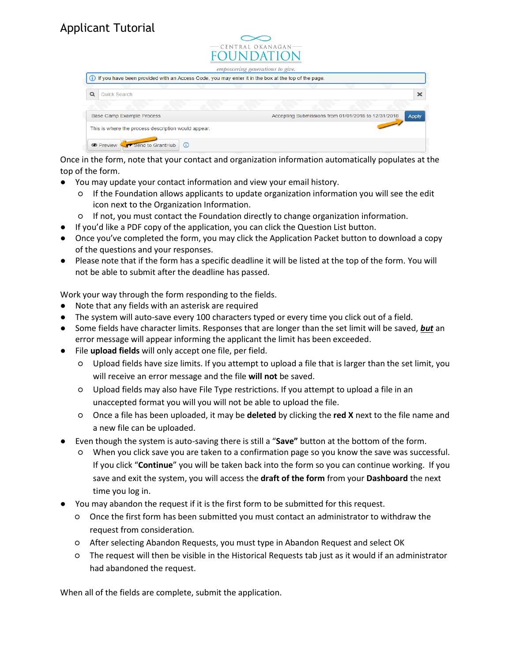|                                                                                                        | $\equiv$ CENTRAL OKAN AGAN $\equiv$<br><b>FOUNDATION</b><br>empowering generations to give. |
|--------------------------------------------------------------------------------------------------------|---------------------------------------------------------------------------------------------|
| (i) If you have been provided with an Access Code, you may enter it in the box at the top of the page. |                                                                                             |
| $\alpha$<br>Quick Search                                                                               | $\boldsymbol{\times}$                                                                       |
| <b>Base Camp Example Process</b>                                                                       | Accepting Submissions from 01/01/2018 to 12/31/2018<br><b>Apply</b>                         |
| This is where the process description would appear.                                                    |                                                                                             |
| Send to GrantHub<br><b>I</b> Preview<br>$\odot$                                                        |                                                                                             |

Once in the form, note that your contact and organization information automatically populates at the top of the form.

- You may update your contact information and view your email history.
	- If the Foundation allows applicants to update organization information you will see the edit icon next to the Organization Information.
	- If not, you must contact the Foundation directly to change organization information.
- If you'd like a PDF copy of the application, you can click the Question List button.
- Once you've completed the form, you may click the Application Packet button to download a copy of the questions and your responses.
- Please note that if the form has a specific deadline it will be listed at the top of the form. You will not be able to submit after the deadline has passed.

Work your way through the form responding to the fields.

- Note that any fields with an asterisk are required
- The system will auto-save every 100 characters typed or every time you click out of a field.
- Some fields have character limits. Responses that are longer than the set limit will be saved, **but** an error message will appear informing the applicant the limit has been exceeded.
- File **upload fields** will only accept one file, per field.
	- Upload fields have size limits. If you attempt to upload a file that is larger than the set limit, you will receive an error message and the file **will not** be saved.
	- Upload fields may also have File Type restrictions. If you attempt to upload a file in an unaccepted format you will you will not be able to upload the file.
	- Once a file has been uploaded, it may be **deleted** by clicking the **red X** next to the file name and a new file can be uploaded.
- Even though the system is auto-saving there is still a "**Save"** button at the bottom of the form.
	- When you click save you are taken to a confirmation page so you know the save was successful. If you click "**Continue**" you will be taken back into the form so you can continue working. If you save and exit the system, you will access the **draft of the form** from your **Dashboard** the next time you log in.
- You may abandon the request if it is the first form to be submitted for this request.
	- Once the first form has been submitted you must contact an administrator to withdraw the request from consideration.
	- After selecting Abandon Requests, you must type in Abandon Request and select OK
	- The request will then be visible in the Historical Requests tab just as it would if an administrator had abandoned the request.

When all of the fields are complete, submit the application.